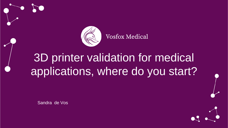

**Vosfox Medical** 

## 3D printer validation for medical applications, where do you start?

Sandra de Vos

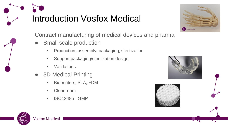# Introduction Vosfox Medical



Contract manufacturing of medical devices and pharma

- **Small scale production** 
	- Production, assembly, packaging, sterilization
	- Support packaging/sterilization design
	- **Validations**
- 3D Medical Printing
	- Bioprinters, SLA, FDM
	- Cleanroom
	- ISO13485 GMP



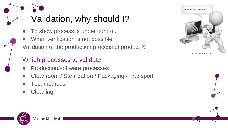# Validation, why should I?

- To show process is under control.
- When verification is not possible
- Validation of the production process of product X

### Which processes to validate

- Production/software processes
- Cleanroom / Sterilization / Packaging / Transport
- Test methods
- **Cleaning**



www.feedforall.com

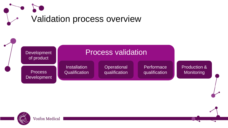



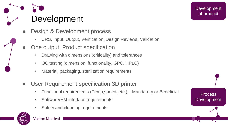Development

- Design & Development process
	- URS, Input, Output, Verification, Design Reviews, Validation
- One output: Product specification
	- Drawing with dimensions (criticality) and tolerances
	- QC testing (dimension, functionality, GPC, HPLC)
	- Material, packaging, sterilization requirements
- User Requirement specification 3D printer
	- Functional requirements (Temp,speed, etc.) Mandatory or Beneficial
	- Software/HM interface requirements
	- Safety and cleaning requirements



Process Development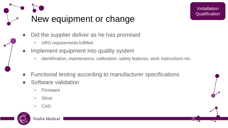

**Installation Qualification** 

- Did the supplier deliver as he has promised
	- URS requirements fulfilled
- Implement equipment into quality system
	- identification, maintenance, calibration, safety features, work instructions etc.
- Functional testing according to manufacturer specifications
- Software validation
	- Firmware
	- Slicer
	- CAD

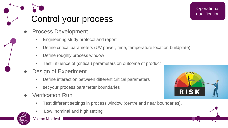## Control your process

- **Process Development** 
	- Engineering study protocol and report
	- Define critical parameters (UV power, time, temperature location buildplate)
	- Define roughly process window
	- Test influence of (critical) parameters on outcome of product
- **Design of Experiment** 
	- Define interaction between different critical parameters
	- set your process parameter boundaries
- **Verification Run** 
	- Test different settings in process window (centre and near boundaries).
	- Low, nominal and high setting



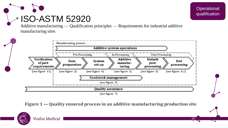# ISO-ASTM 52920

Additive manufacturing — Qualification principles — Requirements for industrial additive manufacturing sites



Figure  $1$   $-$  Quality ensured process in an additive manufacturing production site



**Operational** qualification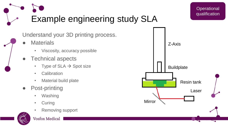

Understand your 3D printing process.

- **Materials** 
	- Viscosity, accuracy possible
- Technical aspects
	- Type of  $SLA \rightarrow Spot$  size
	- Calibration
	- Material build plate
- Post-printing
	- Washing
	- Curing
	- Removing support



#### **Vosfox Medical**



**Operational** qualification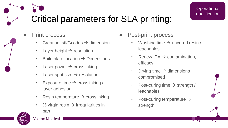### Critical parameters for SLA printing:

- **Print process** 
	- Creation .stl/Gcodes → dimension
	- Layer height  $\rightarrow$  resolution
	- Build plate location  $\rightarrow$  Dimensions
	- Laser power  $\rightarrow$  crosslinking
	- Laser spot size  $\rightarrow$  resolution
	- Exposure time  $\rightarrow$  crosslinking / layer adhesion
	- Resin temperature  $\rightarrow$  crosslinking
	- % virgin resin  $\rightarrow$  irregularities in part
- 
- Post-print process
	- Washing time  $\rightarrow$  uncured resin / leachables
	- Renew IPA  $\rightarrow$  contamination, efficacy
	- Drying time  $\rightarrow$  dimensions compromised
	- Post-curing time  $\rightarrow$  strength / leachables
	- Post-curing temperature  $\rightarrow$ strength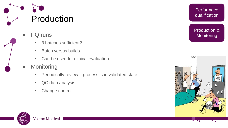

- PQ runs
	- 3 batches sufficient?
	- Batch versus builds
	- Can be used for clinical evaluation
- **Monitoring** 
	- Periodically review if process is in validated state
	- QC data analysis
	- Change control



**Performace** qualification

Production & **Monitoring** 

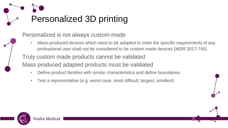

Personalized is not always custom-made

Mass-produced devices which need to be adapted to meet the specific requirements of any professional user shall not be considered to be custom made devices (MDR 2017-745)

Truly custom made products cannot be validated Mass produced adapted products must be valdiated

- Define product families with similar characteristics and define boundaries.
- Test a representative (e.g. worst case, most difficult, largest, smallest)

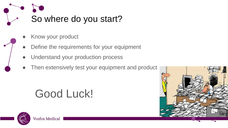

- Know your product
- Define the requirements for your equipment
- Understand your production process
- Then extensively test your equipment and product

## Good Luck!